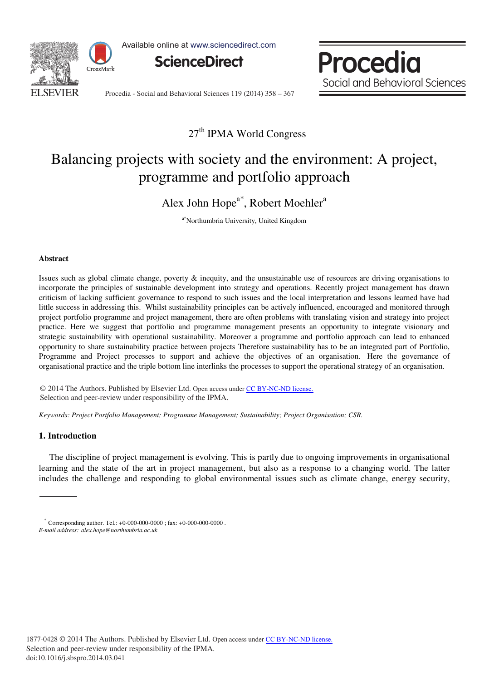

Available online at www.sciencedirect.com



Procedia Social and Behavioral Sciences

Procedia - Social and Behavioral Sciences 119 (2014) 358 - 367

# 27<sup>th</sup> IPMA World Congress

# Balancing projects with society and the environment: A project, programme and portfolio approach

Alex John Hope<sup>a\*</sup>, Robert Moehler<sup>a</sup>

a\* Northumbria University, United Kingdom

### **Abstract**

Issues such as global climate change, poverty & inequity, and the unsustainable use of resources are driving organisations to incorporate the principles of sustainable development into strategy and operations. Recently project management has drawn criticism of lacking sufficient governance to respond to such issues and the local interpretation and lessons learned have had little success in addressing this. Whilst sustainability principles can be actively influenced, encouraged and monitored through project portfolio programme and project management, there are often problems with translating vision and strategy into project practice. Here we suggest that portfolio and programme management presents an opportunity to integrate visionary and strategic sustainability with operational sustainability. Moreover a programme and portfolio approach can lead to enhanced opportunity to share sustainability practice between projects Therefore sustainability has to be an integrated part of Portfolio, Programme and Project processes to support and achieve the objectives of an organisation. Here the governance of organisational practice and the triple bottom line interlinks the processes to support the operational strategy of an organisation.

© 2014 The Authors. Published by Elsevier Ltd. © 2014 The Authors. Published by Elsevier Ltd. Open access under [CC BY-NC-ND license.](http://creativecommons.org/licenses/by-nc-nd/3.0/) Selection and peer-review under responsibility of the IPMA. Selection and peer-review under responsibility of the IPMA.

*Keywords: Project Portfolio Management; Programme Management; Sustainability; Project Organisation; CSR.* 

# **1. Introduction**

The discipline of project management is evolving. This is partly due to ongoing improvements in organisational learning and the state of the art in project management, but also as a response to a changing world. The latter includes the challenge and responding to global environmental issues such as climate change, energy security,

<sup>\*</sup> Corresponding author. Tel.: +0-000-000-0000 ; fax: +0-000-000-0000 . *E-mail address: alex.hope@northumbria.ac.uk*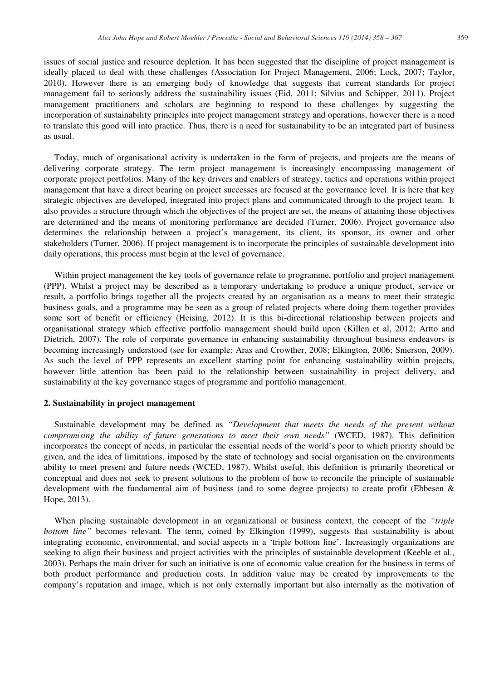issues of social justice and resource depletion. It has been suggested that the discipline of project management is ideally placed to deal with these challenges (Association for Project Management, 2006; Lock, 2007; Taylor, 2010). However there is an emerging body of knowledge that suggests that current standards for project management fail to seriously address the sustainability issues (Eid, 2011; Silvius and Schipper, 2011). Project management practitioners and scholars are beginning to respond to these challenges by suggesting the incorporation of sustainability principles into project management strategy and operations, however there is a need to translate this good will into practice. Thus, there is a need for sustainability to be an integrated part of business as usual.

Today, much of organisational activity is undertaken in the form of projects, and projects are the means of delivering corporate strategy. The term project management is increasingly encompassing management of corporate project portfolios. Many of the key drivers and enablers of strategy, tactics and operations within project management that have a direct bearing on project successes are focused at the governance level. It is here that key strategic objectives are developed, integrated into project plans and communicated through to the project team. It also provides a structure through which the objectives of the project are set, the means of attaining those objectives are determined and the means of monitoring performance are decided (Turner, 2006). Project governance also determines the relationship between a project's management, its client, its sponsor, its owner and other stakeholders (Turner, 2006). If project management is to incorporate the principles of sustainable development into daily operations, this process must begin at the level of governance.

Within project management the key tools of governance relate to programme, portfolio and project management (PPP). Whilst a project may be described as a temporary undertaking to produce a unique product, service or result, a portfolio brings together all the projects created by an organisation as a means to meet their strategic business goals, and a programme may be seen as a group of related projects where doing them together provides some sort of benefit or efficiency (Heising, 2012). It is this bi-directional relationship between projects and organisational strategy which effective portfolio management should build upon (Killen et al, 2012; Artto and Dietrich, 2007). The role of corporate governance in enhancing sustainability throughout business endeavors is becoming increasingly understood (see for example: Aras and Crowther, 2008; Elkington, 2006; Snierson, 2009). As such the level of PPP represents an excellent starting point for enhancing sustainability within projects, however little attention has been paid to the relationship between sustainability in project delivery, and sustainability at the key governance stages of programme and portfolio management.

#### **2. Sustainability in project management**

Sustainable development may be defined as *"Development that meets the needs of the present without compromising the ability of future generations to meet their own needs"* (WCED, 1987). This definition incorporates the concept of needs, in particular the essential needs of the world's poor to which priority should be given, and the idea of limitations, imposed by the state of technology and social organisation on the environments ability to meet present and future needs (WCED, 1987). Whilst useful, this definition is primarily theoretical or conceptual and does not seek to present solutions to the problem of how to reconcile the principle of sustainable development with the fundamental aim of business (and to some degree projects) to create profit (Ebbesen & Hope, 2013).

When placing sustainable development in an organizational or business context, the concept of the *"triple bottom line"* becomes relevant. The term, coined by Elkington (1999), suggests that sustainability is about integrating economic, environmental, and social aspects in a 'triple bottom line'. Increasingly organizations are seeking to align their business and project activities with the principles of sustainable development (Keeble et al., 2003). Perhaps the main driver for such an initiative is one of economic value creation for the business in terms of both product performance and production costs. In addition value may be created by improvements to the company's reputation and image, which is not only externally important but also internally as the motivation of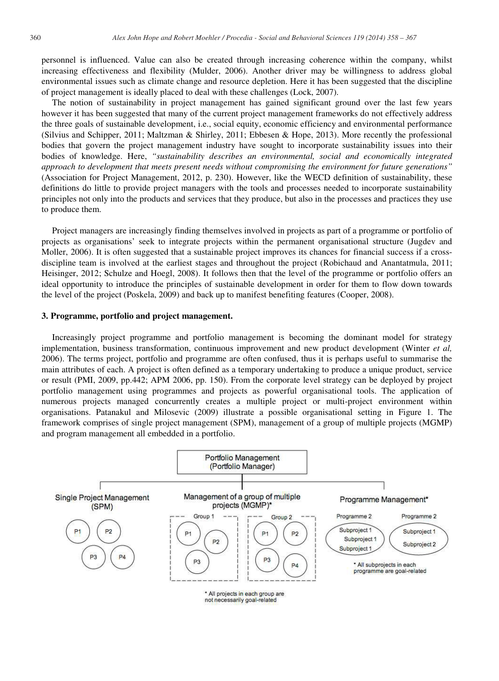personnel is influenced. Value can also be created through increasing coherence within the company, whilst increasing effectiveness and flexibility (Mulder, 2006). Another driver may be willingness to address global environmental issues such as climate change and resource depletion. Here it has been suggested that the discipline of project management is ideally placed to deal with these challenges (Lock, 2007).

The notion of sustainability in project management has gained significant ground over the last few years however it has been suggested that many of the current project management frameworks do not effectively address the three goals of sustainable development, i.e., social equity, economic efficiency and environmental performance (Silvius and Schipper, 2011; Maltzman & Shirley, 2011; Ebbesen & Hope, 2013). More recently the professional bodies that govern the project management industry have sought to incorporate sustainability issues into their bodies of knowledge. Here, *"sustainability describes an environmental, social and economically integrated approach to development that meets present needs without compromising the environment for future generations"* (Association for Project Management, 2012, p. 230). However, like the WECD definition of sustainability, these definitions do little to provide project managers with the tools and processes needed to incorporate sustainability principles not only into the products and services that they produce, but also in the processes and practices they use to produce them.

Project managers are increasingly finding themselves involved in projects as part of a programme or portfolio of projects as organisations' seek to integrate projects within the permanent organisational structure (Jugdev and Moller, 2006). It is often suggested that a sustainable project improves its chances for financial success if a crossdiscipline team is involved at the earliest stages and throughout the project (Robichaud and Anantatmula, 2011; Heisinger, 2012; Schulze and Hoegl, 2008). It follows then that the level of the programme or portfolio offers an ideal opportunity to introduce the principles of sustainable development in order for them to flow down towards the level of the project (Poskela, 2009) and back up to manifest benefiting features (Cooper, 2008).

#### **3. Programme, portfolio and project management.**

Increasingly project programme and portfolio management is becoming the dominant model for strategy implementation, business transformation, continuous improvement and new product development (Winter *et al,*  2006). The terms project, portfolio and programme are often confused, thus it is perhaps useful to summarise the main attributes of each. A project is often defined as a temporary undertaking to produce a unique product, service or result (PMI, 2009, pp.442; APM 2006, pp. 150). From the corporate level strategy can be deployed by project portfolio management using programmes and projects as powerful organisational tools. The application of numerous projects managed concurrently creates a multiple project or multi-project environment within organisations. Patanakul and Milosevic (2009) illustrate a possible organisational setting in Figure 1. The framework comprises of single project management (SPM), management of a group of multiple projects (MGMP) and program management all embedded in a portfolio.



not necessarily goal-related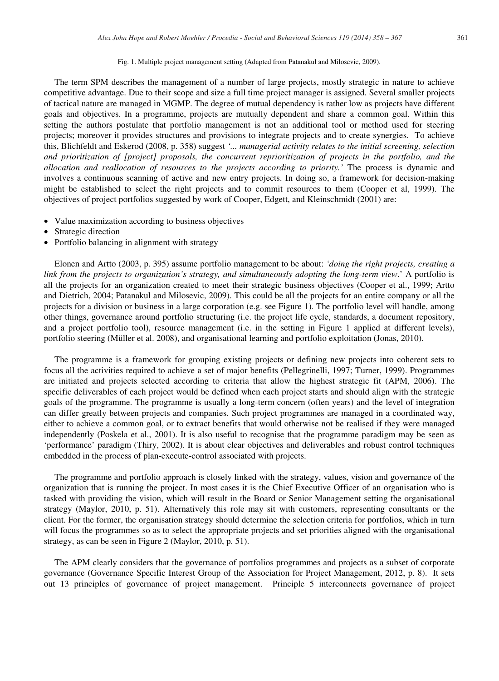The term SPM describes the management of a number of large projects, mostly strategic in nature to achieve competitive advantage. Due to their scope and size a full time project manager is assigned. Several smaller projects of tactical nature are managed in MGMP. The degree of mutual dependency is rather low as projects have different goals and objectives. In a programme, projects are mutually dependent and share a common goal. Within this setting the authors postulate that portfolio management is not an additional tool or method used for steering projects; moreover it provides structures and provisions to integrate projects and to create synergies. To achieve this, Blichfeldt and Eskerod (2008, p. 358) suggest *'... managerial activity relates to the initial screening, selection*  and prioritization of [project] proposals, the concurrent reprioritization of projects in the portfolio, and the *allocation and reallocation of resources to the projects according to priority.'* The process is dynamic and involves a continuous scanning of active and new entry projects. In doing so, a framework for decision-making might be established to select the right projects and to commit resources to them (Cooper et al, 1999). The objectives of project portfolios suggested by work of Cooper, Edgett, and Kleinschmidt (2001) are:

- Value maximization according to business objectives
- Strategic direction
- Portfolio balancing in alignment with strategy

Elonen and Artto (2003, p. 395) assume portfolio management to be about: *'doing the right projects, creating a link from the projects to organization's strategy, and simultaneously adopting the long-term view*.' A portfolio is all the projects for an organization created to meet their strategic business objectives (Cooper et al., 1999; Artto and Dietrich, 2004; Patanakul and Milosevic, 2009). This could be all the projects for an entire company or all the projects for a division or business in a large corporation (e.g. see Figure 1). The portfolio level will handle, among other things, governance around portfolio structuring (i.e. the project life cycle, standards, a document repository, and a project portfolio tool), resource management (i.e. in the setting in Figure 1 applied at different levels), portfolio steering (Müller et al. 2008), and organisational learning and portfolio exploitation (Jonas, 2010).

The programme is a framework for grouping existing projects or defining new projects into coherent sets to focus all the activities required to achieve a set of major benefits (Pellegrinelli, 1997; Turner, 1999). Programmes are initiated and projects selected according to criteria that allow the highest strategic fit (APM, 2006). The specific deliverables of each project would be defined when each project starts and should align with the strategic goals of the programme. The programme is usually a long-term concern (often years) and the level of integration can differ greatly between projects and companies. Such project programmes are managed in a coordinated way, either to achieve a common goal, or to extract benefits that would otherwise not be realised if they were managed independently (Poskela et al., 2001). It is also useful to recognise that the programme paradigm may be seen as 'performance' paradigm (Thiry, 2002). It is about clear objectives and deliverables and robust control techniques embedded in the process of plan-execute-control associated with projects.

The programme and portfolio approach is closely linked with the strategy, values, vision and governance of the organization that is running the project. In most cases it is the Chief Executive Officer of an organisation who is tasked with providing the vision, which will result in the Board or Senior Management setting the organisational strategy (Maylor, 2010, p. 51). Alternatively this role may sit with customers, representing consultants or the client. For the former, the organisation strategy should determine the selection criteria for portfolios, which in turn will focus the programmes so as to select the appropriate projects and set priorities aligned with the organisational strategy, as can be seen in Figure 2 (Maylor, 2010, p. 51).

The APM clearly considers that the governance of portfolios programmes and projects as a subset of corporate governance (Governance Specific Interest Group of the Association for Project Management, 2012, p. 8). It sets out 13 principles of governance of project management. Principle 5 interconnects governance of project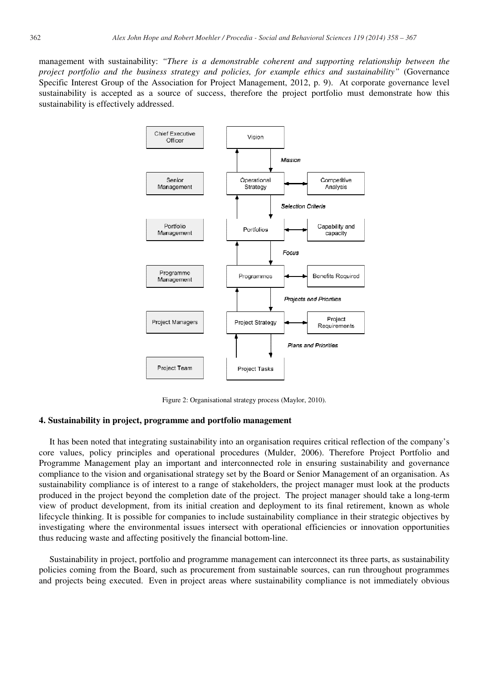management with sustainability: *"There is a demonstrable coherent and supporting relationship between the project portfolio and the business strategy and policies, for example ethics and sustainability"* (Governance Specific Interest Group of the Association for Project Management, 2012, p. 9). At corporate governance level sustainability is accepted as a source of success, therefore the project portfolio must demonstrate how this sustainability is effectively addressed.



Figure 2: Organisational strategy process (Maylor, 2010).

#### **4. Sustainability in project, programme and portfolio management**

It has been noted that integrating sustainability into an organisation requires critical reflection of the company's core values, policy principles and operational procedures (Mulder, 2006). Therefore Project Portfolio and Programme Management play an important and interconnected role in ensuring sustainability and governance compliance to the vision and organisational strategy set by the Board or Senior Management of an organisation. As sustainability compliance is of interest to a range of stakeholders, the project manager must look at the products produced in the project beyond the completion date of the project. The project manager should take a long-term view of product development, from its initial creation and deployment to its final retirement, known as whole lifecycle thinking. It is possible for companies to include sustainability compliance in their strategic objectives by investigating where the environmental issues intersect with operational efficiencies or innovation opportunities thus reducing waste and affecting positively the financial bottom-line.

Sustainability in project, portfolio and programme management can interconnect its three parts, as sustainability policies coming from the Board, such as procurement from sustainable sources, can run throughout programmes and projects being executed. Even in project areas where sustainability compliance is not immediately obvious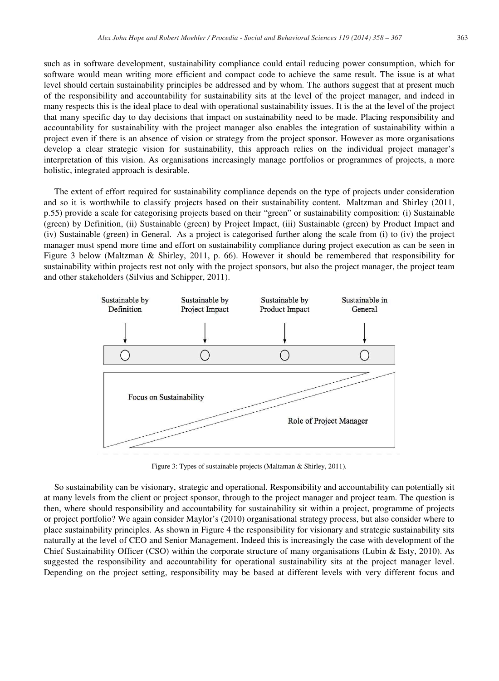such as in software development, sustainability compliance could entail reducing power consumption, which for software would mean writing more efficient and compact code to achieve the same result. The issue is at what level should certain sustainability principles be addressed and by whom. The authors suggest that at present much of the responsibility and accountability for sustainability sits at the level of the project manager, and indeed in many respects this is the ideal place to deal with operational sustainability issues. It is the at the level of the project that many specific day to day decisions that impact on sustainability need to be made. Placing responsibility and accountability for sustainability with the project manager also enables the integration of sustainability within a project even if there is an absence of vision or strategy from the project sponsor. However as more organisations develop a clear strategic vision for sustainability, this approach relies on the individual project manager's interpretation of this vision. As organisations increasingly manage portfolios or programmes of projects, a more holistic, integrated approach is desirable.

The extent of effort required for sustainability compliance depends on the type of projects under consideration and so it is worthwhile to classify projects based on their sustainability content. Maltzman and Shirley (2011, p.55) provide a scale for categorising projects based on their "green" or sustainability composition: (i) Sustainable (green) by Definition, (ii) Sustainable (green) by Project Impact, (iii) Sustainable (green) by Product Impact and (iv) Sustainable (green) in General. As a project is categorised further along the scale from (i) to (iv) the project manager must spend more time and effort on sustainability compliance during project execution as can be seen in Figure 3 below (Maltzman & Shirley, 2011, p. 66). However it should be remembered that responsibility for sustainability within projects rest not only with the project sponsors, but also the project manager, the project team and other stakeholders (Silvius and Schipper, 2011).



Figure 3: Types of sustainable projects (Maltaman & Shirley, 2011).

So sustainability can be visionary, strategic and operational. Responsibility and accountability can potentially sit at many levels from the client or project sponsor, through to the project manager and project team. The question is then, where should responsibility and accountability for sustainability sit within a project, programme of projects or project portfolio? We again consider Maylor's (2010) organisational strategy process, but also consider where to place sustainability principles. As shown in Figure 4 the responsibility for visionary and strategic sustainability sits naturally at the level of CEO and Senior Management. Indeed this is increasingly the case with development of the Chief Sustainability Officer (CSO) within the corporate structure of many organisations (Lubin & Esty, 2010). As suggested the responsibility and accountability for operational sustainability sits at the project manager level. Depending on the project setting, responsibility may be based at different levels with very different focus and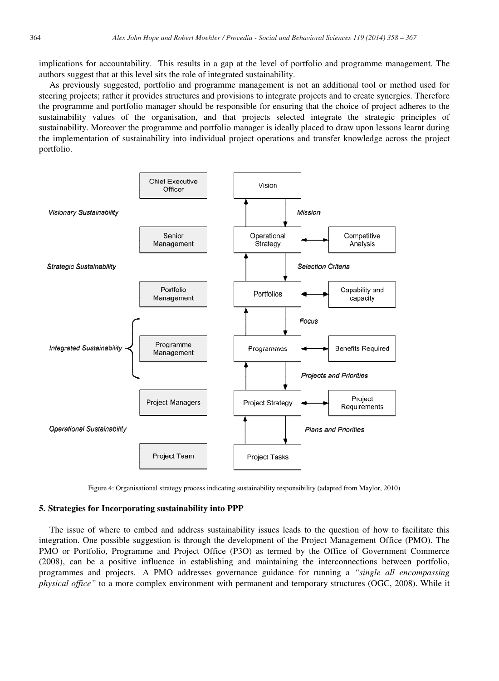implications for accountability. This results in a gap at the level of portfolio and programme management. The authors suggest that at this level sits the role of integrated sustainability.

As previously suggested, portfolio and programme management is not an additional tool or method used for steering projects; rather it provides structures and provisions to integrate projects and to create synergies. Therefore the programme and portfolio manager should be responsible for ensuring that the choice of project adheres to the sustainability values of the organisation, and that projects selected integrate the strategic principles of sustainability. Moreover the programme and portfolio manager is ideally placed to draw upon lessons learnt during the implementation of sustainability into individual project operations and transfer knowledge across the project portfolio.



Figure 4: Organisational strategy process indicating sustainability responsibility (adapted from Maylor, 2010)

# **5. Strategies for Incorporating sustainability into PPP**

The issue of where to embed and address sustainability issues leads to the question of how to facilitate this integration. One possible suggestion is through the development of the Project Management Office (PMO). The PMO or Portfolio, Programme and Project Office (P3O) as termed by the Office of Government Commerce (2008), can be a positive influence in establishing and maintaining the interconnections between portfolio, programmes and projects. A PMO addresses governance guidance for running a *"single all encompassing physical office"* to a more complex environment with permanent and temporary structures (OGC, 2008). While it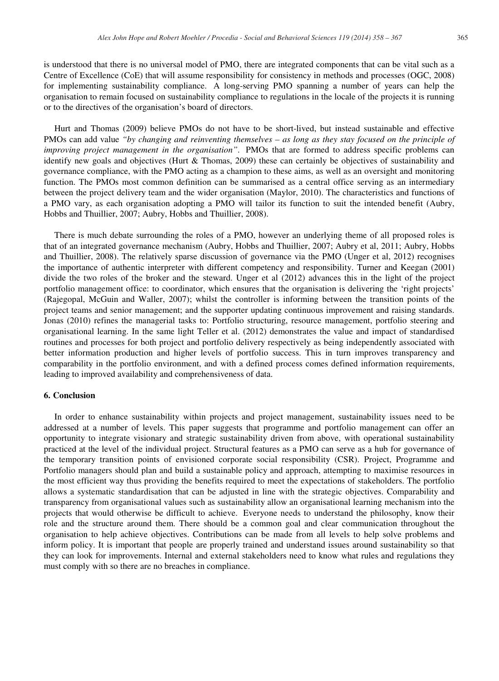is understood that there is no universal model of PMO, there are integrated components that can be vital such as a Centre of Excellence (CoE) that will assume responsibility for consistency in methods and processes (OGC, 2008) for implementing sustainability compliance. A long-serving PMO spanning a number of years can help the organisation to remain focused on sustainability compliance to regulations in the locale of the projects it is running or to the directives of the organisation's board of directors.

Hurt and Thomas (2009) believe PMOs do not have to be short-lived, but instead sustainable and effective PMOs can add value *"by changing and reinventing themselves – as long as they stay focused on the principle of improving project management in the organisation"*. PMOs that are formed to address specific problems can identify new goals and objectives (Hurt & Thomas, 2009) these can certainly be objectives of sustainability and governance compliance, with the PMO acting as a champion to these aims, as well as an oversight and monitoring function. The PMOs most common definition can be summarised as a central office serving as an intermediary between the project delivery team and the wider organisation (Maylor, 2010). The characteristics and functions of a PMO vary, as each organisation adopting a PMO will tailor its function to suit the intended benefit (Aubry, Hobbs and Thuillier, 2007; Aubry, Hobbs and Thuillier, 2008).

There is much debate surrounding the roles of a PMO, however an underlying theme of all proposed roles is that of an integrated governance mechanism (Aubry, Hobbs and Thuillier, 2007; Aubry et al, 2011; Aubry, Hobbs and Thuillier, 2008). The relatively sparse discussion of governance via the PMO (Unger et al, 2012) recognises the importance of authentic interpreter with different competency and responsibility. Turner and Keegan (2001) divide the two roles of the broker and the steward. Unger et al (2012) advances this in the light of the project portfolio management office: to coordinator, which ensures that the organisation is delivering the 'right projects' (Rajegopal, McGuin and Waller, 2007); whilst the controller is informing between the transition points of the project teams and senior management; and the supporter updating continuous improvement and raising standards. Jonas (2010) refines the managerial tasks to: Portfolio structuring, resource management, portfolio steering and organisational learning. In the same light Teller et al. (2012) demonstrates the value and impact of standardised routines and processes for both project and portfolio delivery respectively as being independently associated with better information production and higher levels of portfolio success. This in turn improves transparency and comparability in the portfolio environment, and with a defined process comes defined information requirements, leading to improved availability and comprehensiveness of data.

#### **6. Conclusion**

In order to enhance sustainability within projects and project management, sustainability issues need to be addressed at a number of levels. This paper suggests that programme and portfolio management can offer an opportunity to integrate visionary and strategic sustainability driven from above, with operational sustainability practiced at the level of the individual project. Structural features as a PMO can serve as a hub for governance of the temporary transition points of envisioned corporate social responsibility (CSR). Project, Programme and Portfolio managers should plan and build a sustainable policy and approach, attempting to maximise resources in the most efficient way thus providing the benefits required to meet the expectations of stakeholders. The portfolio allows a systematic standardisation that can be adjusted in line with the strategic objectives. Comparability and transparency from organisational values such as sustainability allow an organisational learning mechanism into the projects that would otherwise be difficult to achieve. Everyone needs to understand the philosophy, know their role and the structure around them. There should be a common goal and clear communication throughout the organisation to help achieve objectives. Contributions can be made from all levels to help solve problems and inform policy. It is important that people are properly trained and understand issues around sustainability so that they can look for improvements. Internal and external stakeholders need to know what rules and regulations they must comply with so there are no breaches in compliance.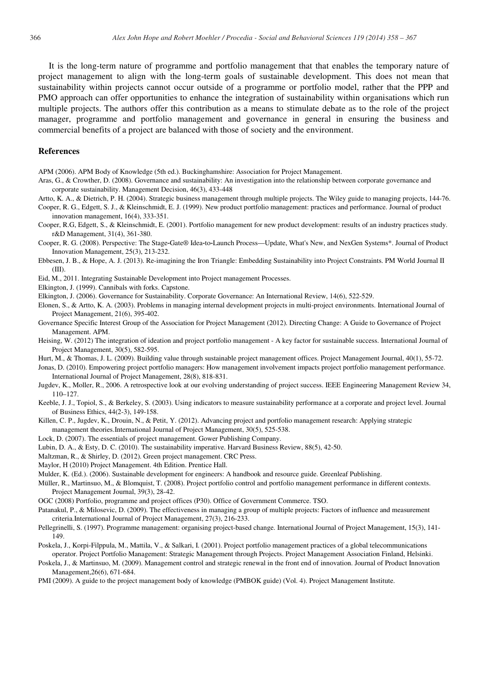It is the long-term nature of programme and portfolio management that that enables the temporary nature of project management to align with the long-term goals of sustainable development. This does not mean that sustainability within projects cannot occur outside of a programme or portfolio model, rather that the PPP and PMO approach can offer opportunities to enhance the integration of sustainability within organisations which run multiple projects. The authors offer this contribution as a means to stimulate debate as to the role of the project manager, programme and portfolio management and governance in general in ensuring the business and commercial benefits of a project are balanced with those of society and the environment.

#### **References**

APM (2006). APM Body of Knowledge (5th ed.). Buckinghamshire: Association for Project Management.

Aras, G., & Crowther, D. (2008). Governance and sustainability: An investigation into the relationship between corporate governance and corporate sustainability. Management Decision, 46(3), 433-448

Artto, K. A., & Dietrich, P. H. (2004). Strategic business management through multiple projects. The Wiley guide to managing projects, 144-76.

Cooper, R. G., Edgett, S. J., & Kleinschmidt, E. J. (1999). New product portfolio management: practices and performance. Journal of product innovation management, 16(4), 333-351.

Cooper, R.G, Edgett, S., & Kleinschmidt, E. (2001). Portfolio management for new product development: results of an industry practices study. r&D Management, 31(4), 361-380.

Cooper, R. G. (2008). Perspective: The Stage-Gate® Idea-to-Launch Process—Update, What's New, and NexGen Systems\*. Journal of Product Innovation Management, 25(3), 213-232.

Ebbesen, J. B., & Hope, A. J. (2013). Re-imagining the Iron Triangle: Embedding Sustainability into Project Constraints. PM World Journal II (III).

Eid, M., 2011. Integrating Sustainable Development into Project management Processes.

Elkington, J. (1999). Cannibals with forks. Capstone.

Elkington, J. (2006). Governance for Sustainability. Corporate Governance: An International Review, 14(6), 522-529.

Elonen, S., & Artto, K. A. (2003). Problems in managing internal development projects in multi-project environments. International Journal of Project Management, 21(6), 395-402.

Governance Specific Interest Group of the Association for Project Management (2012). Directing Change: A Guide to Governance of Project Management. APM.

Heising, W. (2012) The integration of ideation and project portfolio management - A key factor for sustainable success. International Journal of Project Management, 30(5), 582-595.

Hurt, M., & Thomas, J. L. (2009). Building value through sustainable project management offices. Project Management Journal, 40(1), 55-72.

Jonas, D. (2010). Empowering project portfolio managers: How management involvement impacts project portfolio management performance. International Journal of Project Management, 28(8), 818-831.

Jugdev, K., Moller, R., 2006. A retrospective look at our evolving understanding of project success. IEEE Engineering Management Review 34, 110–127.

Keeble, J. J., Topiol, S., & Berkeley, S. (2003). Using indicators to measure sustainability performance at a corporate and project level. Journal of Business Ethics, 44(2-3), 149-158.

- Killen, C. P., Jugdev, K., Drouin, N., & Petit, Y. (2012). Advancing project and portfolio management research: Applying strategic management theories.International Journal of Project Management, 30(5), 525-538.
- Lock, D. (2007). The essentials of project management. Gower Publishing Company.
- Lubin, D. A., & Esty, D. C. (2010). The sustainability imperative. Harvard Business Review, 88(5), 42-50.

Maltzman, R., & Shirley, D. (2012). Green project management. CRC Press.

Maylor, H (2010) Project Management. 4th Edition. Prentice Hall.

Mulder, K. (Ed.). (2006). Sustainable development for engineers: A handbook and resource guide. Greenleaf Publishing.

Müller, R., Martinsuo, M., & Blomquist, T. (2008). Project portfolio control and portfolio management performance in different contexts. Project Management Journal, 39(3), 28-42.

OGC (2008) Portfolio, programme and project offices (P30). Office of Government Commerce. TSO.

Patanakul, P., & Milosevic, D. (2009). The effectiveness in managing a group of multiple projects: Factors of influence and measurement criteria.International Journal of Project Management, 27(3), 216-233.

Pellegrinelli, S. (1997). Programme management: organising project-based change. International Journal of Project Management, 15(3), 141- 149.

Poskela, J., Korpi-Filppula, M., Mattila, V., & Salkari, I. (2001). Project portfolio management practices of a global telecommunications operator. Project Portfolio Management: Strategic Management through Projects. Project Management Association Finland, Helsinki.

Poskela, J., & Martinsuo, M. (2009). Management control and strategic renewal in the front end of innovation. Journal of Product Innovation Management,26(6), 671-684.

PMI (2009). A guide to the project management body of knowledge (PMBOK guide) (Vol. 4). Project Management Institute.